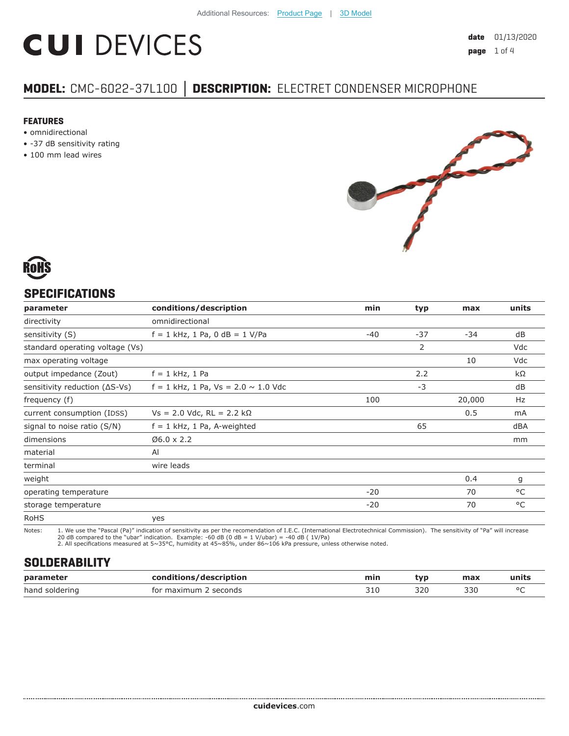# **CUI DEVICES**

# **MODEL:** CMC-6022-37L100 **│ DESCRIPTION:** ELECTRET CONDENSER MICROPHONE

#### **FEATURES**

- omnidirectional
- -37 dB sensitivity rating
- 100 mm lead wires





## **SPECIFICATIONS**

| parameter                               | conditions/description                     | min   | typ   | max    | units |
|-----------------------------------------|--------------------------------------------|-------|-------|--------|-------|
| directivity                             | omnidirectional                            |       |       |        |       |
| sensitivity (S)                         | $f = 1$ kHz, 1 Pa, 0 dB = 1 V/Pa           | $-40$ | $-37$ | $-34$  | dB    |
| standard operating voltage (Vs)         |                                            |       | 2     |        | Vdc   |
| max operating voltage                   |                                            |       |       | 10     | Vdc   |
| output impedance (Zout)                 | $f = 1$ kHz, 1 Pa                          |       | 2.2   |        | kΩ    |
| sensitivity reduction $( \Delta S$ -Vs) | $f = 1$ kHz, 1 Pa, Vs = 2.0 $\sim$ 1.0 Vdc |       | $-3$  |        | dB    |
| frequency (f)                           |                                            | 100   |       | 20,000 | Hz    |
| current consumption (IDSS)              | $Vs = 2.0$ Vdc, RL = 2.2 kΩ                |       |       | 0.5    | mA    |
| signal to noise ratio (S/N)             | $f = 1$ kHz, 1 Pa, A-weighted              |       | 65    |        | dBA   |
| dimensions                              | $06.0 \times 2.2$                          |       |       |        | mm    |
| material                                | Al                                         |       |       |        |       |
| terminal                                | wire leads                                 |       |       |        |       |
| weight                                  |                                            |       |       | 0.4    | g     |
| operating temperature                   |                                            | $-20$ |       | 70     | °C    |
| storage temperature                     |                                            | $-20$ |       | 70     | °C    |
| <b>RoHS</b>                             | yes                                        |       |       |        |       |

Notes: 1. We use the "Pascal (Pa)" indication of sensitivity as per the recomendation of I.E.C. (International Electrotechnical Commission). The sensitivity of "Pa" will increase

20 dB compared to the "ubar" indication. Example: -60 dB (0 dB = 1 V/ubar) = -40 dB ( 1V/Pa) 2. All specifications measured at 5~35°C, humidity at 45~85%, under 86~106 kPa pressure, unless otherwise noted.

# **SOLDERABILITY**

| parameter      | /description<br>rondit | min                     | tvr | max | units  |
|----------------|------------------------|-------------------------|-----|-----|--------|
| hand soldering | seconds<br>for maximum | $\sim$ -1 $\sim$<br>コエィ | 320 | 330 | $\sim$ |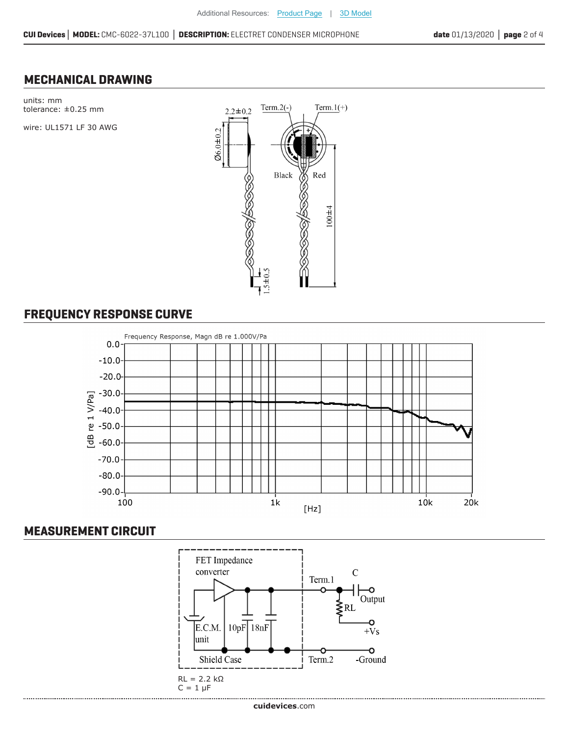### **MECHANICAL DRAWING**



# **FREQUENCY RESPONSE CURVE**



### **MEASUREMENT CIRCUIT**

......................................

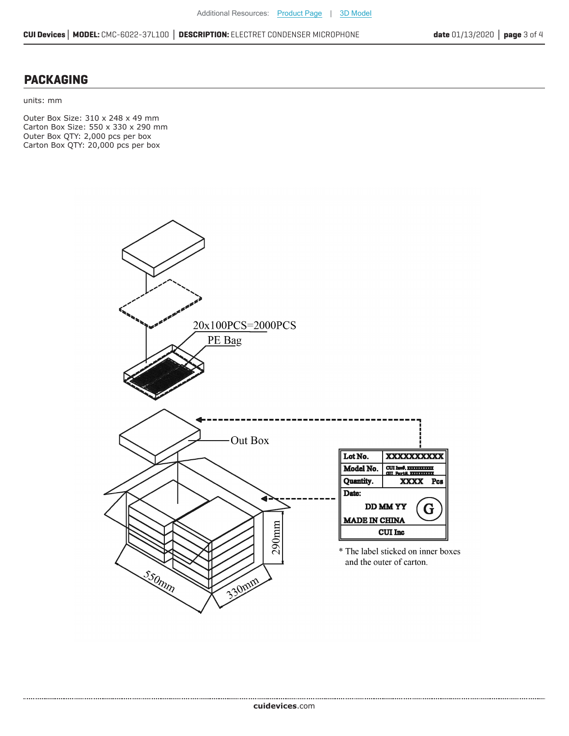#### **PACKAGING**

units: mm

...................

Outer Box Size: 310 x 248 x 49 mm Carton Box Size: 550 x 330 x 290 mm Outer Box QTY: 2,000 pcs per box Carton Box QTY: 20,000 pcs per box

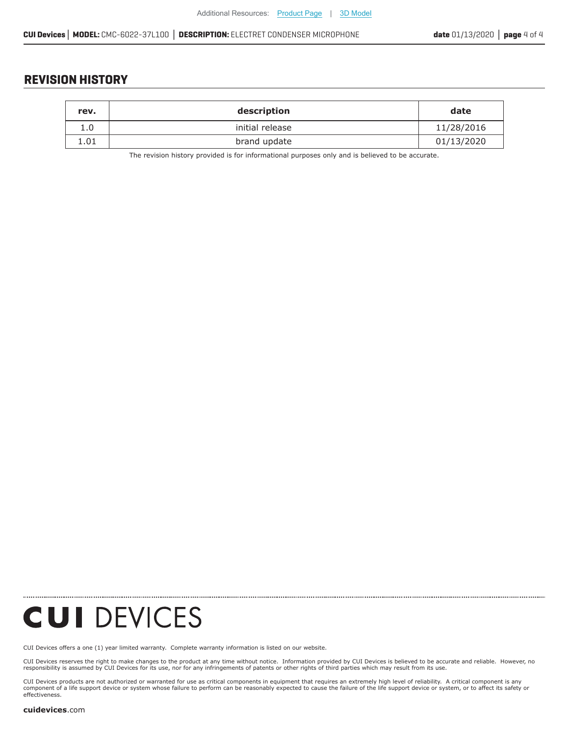### **REVISION HISTORY**

| rev. | description     | date       |
|------|-----------------|------------|
| 1.0  | initial release | 11/28/2016 |
| 1.01 | brand update    | 01/13/2020 |

The revision history provided is for informational purposes only and is believed to be accurate.

**CUI DEVICES** 

[CUI Devices offers a one \(1\) year limited warranty. Complete](https://www.cuidevices.com/track?actionLabel=Datasheet-ClickThrough-HomePage&label=CMC-6022-37L100.pdf&path=/) warranty information is listed on our website.

CUI Devices reserves the right to make changes to the product at any time without notice. Information provided by CUI Devices is believed to be accurate and reliable. However, no<br>responsibility is assumed by CUI Devices

CUI Devices products are not authorized or warranted for use as critical components in equiment that requires an extremely high level of reliability. A critical component is any<br>component of a life support device or syste